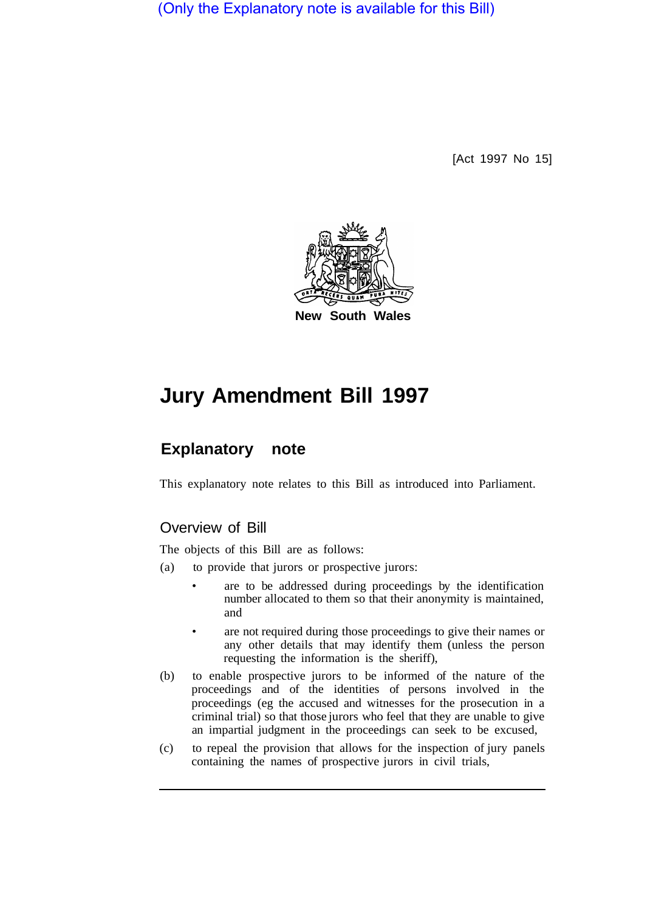(Only the Explanatory note is available for this Bill)

[Act 1997 No 15]



# **Jury Amendment Bill 1997**

# **Explanatory note**

This explanatory note relates to this Bill as introduced into Parliament.

### Overview of Bill

The objects of this Bill are as follows:

- (a) to provide that jurors or prospective jurors:
	- are to be addressed during proceedings by the identification number allocated to them so that their anonymity is maintained, and
	- are not required during those proceedings to give their names or any other details that may identify them (unless the person requesting the information is the sheriff),
- (b) to enable prospective jurors to be informed of the nature of the proceedings and of the identities of persons involved in the proceedings (eg the accused and witnesses for the prosecution in a criminal trial) so that those jurors who feel that they are unable to give an impartial judgment in the proceedings can seek to be excused,
- (c) to repeal the provision that allows for the inspection of jury panels containing the names of prospective jurors in civil trials,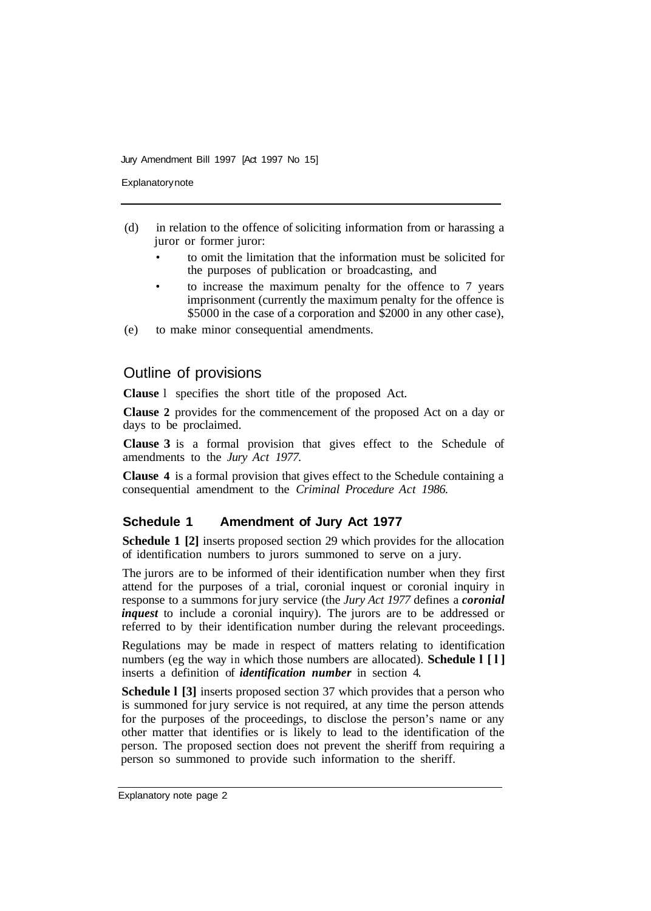Jury Amendment Bill 1997 [Act 1997 No 15]

**Explanatory note** 

- (d) in relation to the offence of soliciting information from or harassing a juror or former juror:
	- to omit the limitation that the information must be solicited for the purposes of publication or broadcasting, and
	- to increase the maximum penalty for the offence to 7 years imprisonment (currently the maximum penalty for the offence is \$5000 in the case of a corporation and \$2000 in any other case),
- (e) to make minor consequential amendments.

## Outline of provisions

**Clause** l specifies the short title of the proposed Act.

**Clause 2** provides for the commencement of the proposed Act on a day or days to be proclaimed.

**Clause 3** is a formal provision that gives effect to the Schedule of amendments to the *Jury Act 1977.* 

**Clause 4** is a formal provision that gives effect to the Schedule containing a consequential amendment to the *Criminal Procedure Act 1986.* 

#### **Schedule 1 Amendment of Jury Act 1977**

**Schedule 1 [2]** inserts proposed section 29 which provides for the allocation of identification numbers to jurors summoned to serve on a jury.

The jurors are to be informed of their identification number when they first attend for the purposes of a trial, coronial inquest or coronial inquiry in response to a summons for jury service (the *Jury Act 1977* defines a *coronial inquest* to include a coronial inquiry). The jurors are to be addressed or referred to by their identification number during the relevant proceedings.

Regulations may be made in respect of matters relating to identification numbers (eg the way in which those numbers are allocated). **Schedule 1** [1] inserts a definition of *identification number* in section 4.

**Schedule l [3]** inserts proposed section 37 which provides that a person who is summoned for jury service is not required, at any time the person attends for the purposes of the proceedings, to disclose the person's name or any other matter that identifies or is likely to lead to the identification of the person. The proposed section does not prevent the sheriff from requiring a person so summoned to provide such information to the sheriff.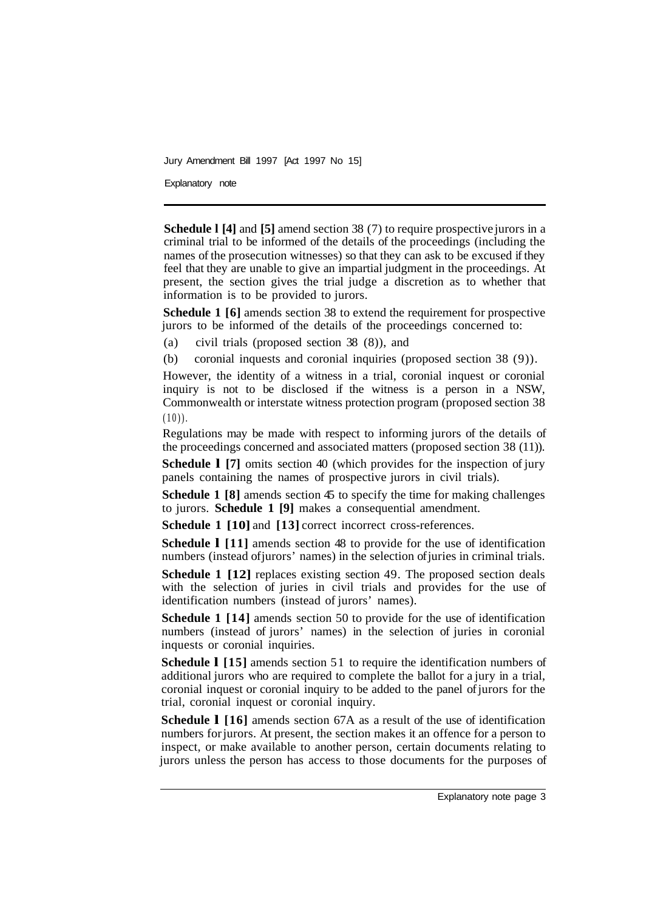Jury Amendment Bill 1997 [Act 1997 No 15]

Explanatory note

**Schedule l [4]** and **[5]** amend section 38 (7) to require prospective jurors in a criminal trial to be informed of the details of the proceedings (including the names of the prosecution witnesses) so that they can ask to be excused if they feel that they are unable to give an impartial judgment in the proceedings. At present, the section gives the trial judge a discretion as to whether that information is to be provided to jurors.

**Schedule 1 [6]** amends section 38 to extend the requirement for prospective jurors to be informed of the details of the proceedings concerned to:

(a) civil trials (proposed section 38 (8)), and

(b) coronial inquests and coronial inquiries (proposed section 38 (9)).

However, the identity of a witness in a trial, coronial inquest or coronial inquiry is not to be disclosed if the witness is a person in a NSW, Commonwealth or interstate witness protection program (proposed section 38  $(10)$ .

Regulations may be made with respect to informing jurors of the details of the proceedings concerned and associated matters (proposed section 38 (11)).

**Schedule 1 [7]** omits section 40 (which provides for the inspection of jury panels containing the names of prospective jurors in civil trials).

**Schedule 1 [8]** amends section 45 to specify the time for making challenges to jurors. **Schedule 1 [9]** makes a consequential amendment.

**Schedule 1 [10]** and **[13]** correct incorrect cross-references.

**Schedule l [11]** amends section 48 to provide for the use of identification numbers (instead of jurors' names) in the selection of juries in criminal trials.

**Schedule 1 [12] replaces existing section 49. The proposed section deals** with the selection of juries in civil trials and provides for the use of identification numbers (instead of jurors' names).

**Schedule 1 [14]** amends section 50 to provide for the use of identification numbers (instead of jurors' names) in the selection of juries in coronial inquests or coronial inquiries.

**Schedule 1** [15] amends section 51 to require the identification numbers of additional jurors who are required to complete the ballot for a jury in a trial, coronial inquest or coronial inquiry to be added to the panel of jurors for the trial, coronial inquest or coronial inquiry.

**Schedule l [16]** amends section 67A as a result of the use of identification numbers for jurors. At present, the section makes it an offence for a person to inspect, or make available to another person, certain documents relating to jurors unless the person has access to those documents for the purposes of